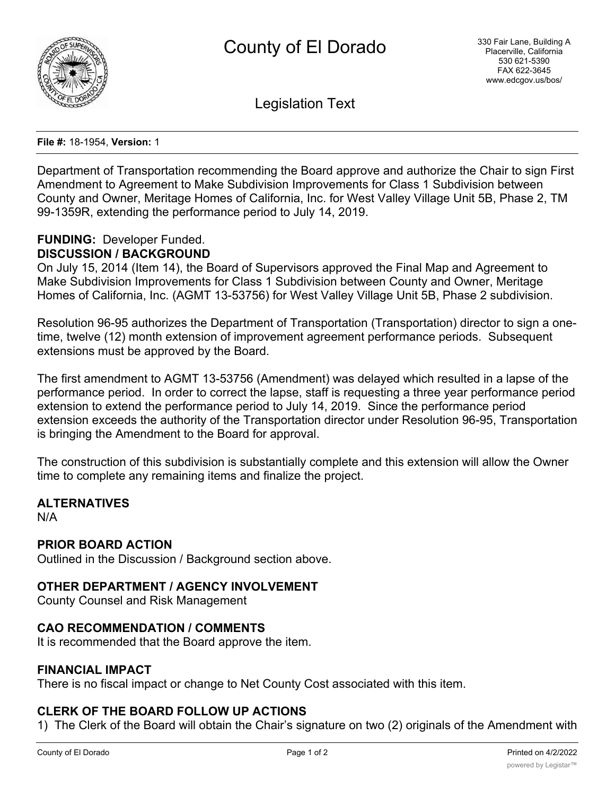

Legislation Text

**File #:** 18-1954, **Version:** 1

Department of Transportation recommending the Board approve and authorize the Chair to sign First Amendment to Agreement to Make Subdivision Improvements for Class 1 Subdivision between County and Owner, Meritage Homes of California, Inc. for West Valley Village Unit 5B, Phase 2, TM 99-1359R, extending the performance period to July 14, 2019.

# **FUNDING:** Developer Funded. **DISCUSSION / BACKGROUND**

On July 15, 2014 (Item 14), the Board of Supervisors approved the Final Map and Agreement to Make Subdivision Improvements for Class 1 Subdivision between County and Owner, Meritage Homes of California, Inc. (AGMT 13-53756) for West Valley Village Unit 5B, Phase 2 subdivision.

Resolution 96-95 authorizes the Department of Transportation (Transportation) director to sign a onetime, twelve (12) month extension of improvement agreement performance periods. Subsequent extensions must be approved by the Board.

The first amendment to AGMT 13-53756 (Amendment) was delayed which resulted in a lapse of the performance period. In order to correct the lapse, staff is requesting a three year performance period extension to extend the performance period to July 14, 2019. Since the performance period extension exceeds the authority of the Transportation director under Resolution 96-95, Transportation is bringing the Amendment to the Board for approval.

The construction of this subdivision is substantially complete and this extension will allow the Owner time to complete any remaining items and finalize the project.

# **ALTERNATIVES**

N/A

# **PRIOR BOARD ACTION**

Outlined in the Discussion / Background section above.

# **OTHER DEPARTMENT / AGENCY INVOLVEMENT**

County Counsel and Risk Management

# **CAO RECOMMENDATION / COMMENTS**

It is recommended that the Board approve the item.

#### **FINANCIAL IMPACT**

There is no fiscal impact or change to Net County Cost associated with this item.

# **CLERK OF THE BOARD FOLLOW UP ACTIONS**

1) The Clerk of the Board will obtain the Chair's signature on two (2) originals of the Amendment with